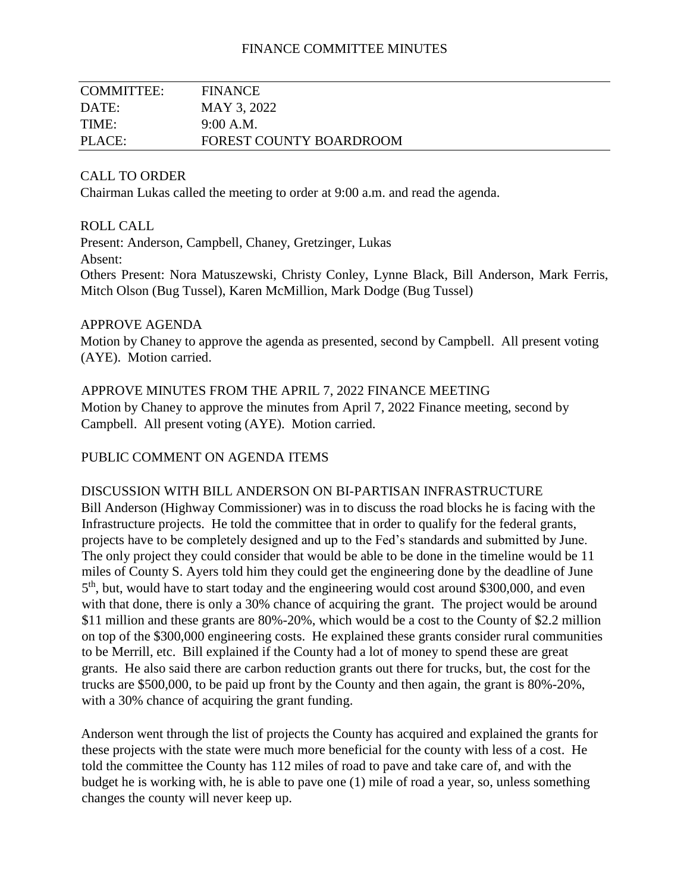## FINANCE COMMITTEE MINUTES

| COMMITTEE: | <b>FINANCE</b>                 |
|------------|--------------------------------|
| DATE:      | MAY 3, 2022                    |
| TIME:      | 9:00 A.M.                      |
| PLACE:     | <b>FOREST COUNTY BOARDROOM</b> |

### CALL TO ORDER

Chairman Lukas called the meeting to order at 9:00 a.m. and read the agenda.

#### ROLL CALL

Present: Anderson, Campbell, Chaney, Gretzinger, Lukas Absent: Others Present: Nora Matuszewski, Christy Conley, Lynne Black, Bill Anderson, Mark Ferris, Mitch Olson (Bug Tussel), Karen McMillion, Mark Dodge (Bug Tussel)

#### APPROVE AGENDA

Motion by Chaney to approve the agenda as presented, second by Campbell. All present voting (AYE). Motion carried.

APPROVE MINUTES FROM THE APRIL 7, 2022 FINANCE MEETING Motion by Chaney to approve the minutes from April 7, 2022 Finance meeting, second by Campbell. All present voting (AYE). Motion carried.

#### PUBLIC COMMENT ON AGENDA ITEMS

#### DISCUSSION WITH BILL ANDERSON ON BI-PARTISAN INFRASTRUCTURE

Bill Anderson (Highway Commissioner) was in to discuss the road blocks he is facing with the Infrastructure projects. He told the committee that in order to qualify for the federal grants, projects have to be completely designed and up to the Fed's standards and submitted by June. The only project they could consider that would be able to be done in the timeline would be 11 miles of County S. Ayers told him they could get the engineering done by the deadline of June 5<sup>th</sup>, but, would have to start today and the engineering would cost around \$300,000, and even with that done, there is only a 30% chance of acquiring the grant. The project would be around \$11 million and these grants are 80%-20%, which would be a cost to the County of \$2.2 million on top of the \$300,000 engineering costs. He explained these grants consider rural communities to be Merrill, etc. Bill explained if the County had a lot of money to spend these are great grants. He also said there are carbon reduction grants out there for trucks, but, the cost for the trucks are \$500,000, to be paid up front by the County and then again, the grant is 80%-20%, with a 30% chance of acquiring the grant funding.

Anderson went through the list of projects the County has acquired and explained the grants for these projects with the state were much more beneficial for the county with less of a cost. He told the committee the County has 112 miles of road to pave and take care of, and with the budget he is working with, he is able to pave one (1) mile of road a year, so, unless something changes the county will never keep up.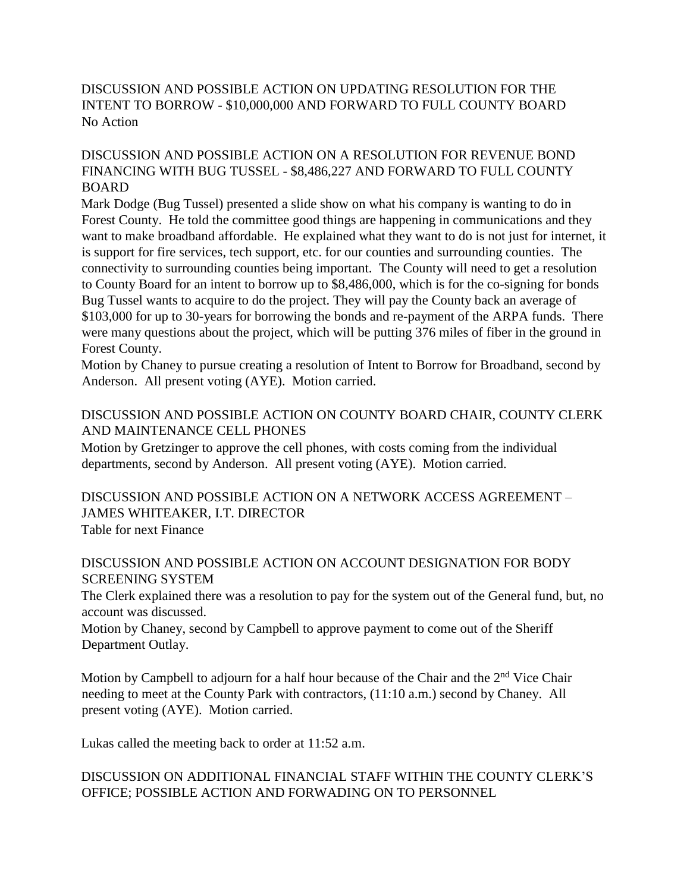# DISCUSSION AND POSSIBLE ACTION ON UPDATING RESOLUTION FOR THE INTENT TO BORROW - \$10,000,000 AND FORWARD TO FULL COUNTY BOARD No Action

## DISCUSSION AND POSSIBLE ACTION ON A RESOLUTION FOR REVENUE BOND FINANCING WITH BUG TUSSEL - \$8,486,227 AND FORWARD TO FULL COUNTY BOARD

Mark Dodge (Bug Tussel) presented a slide show on what his company is wanting to do in Forest County. He told the committee good things are happening in communications and they want to make broadband affordable. He explained what they want to do is not just for internet, it is support for fire services, tech support, etc. for our counties and surrounding counties. The connectivity to surrounding counties being important. The County will need to get a resolution to County Board for an intent to borrow up to \$8,486,000, which is for the co-signing for bonds Bug Tussel wants to acquire to do the project. They will pay the County back an average of \$103,000 for up to 30-years for borrowing the bonds and re-payment of the ARPA funds. There were many questions about the project, which will be putting 376 miles of fiber in the ground in Forest County.

Motion by Chaney to pursue creating a resolution of Intent to Borrow for Broadband, second by Anderson. All present voting (AYE). Motion carried.

## DISCUSSION AND POSSIBLE ACTION ON COUNTY BOARD CHAIR, COUNTY CLERK AND MAINTENANCE CELL PHONES

Motion by Gretzinger to approve the cell phones, with costs coming from the individual departments, second by Anderson. All present voting (AYE). Motion carried.

DISCUSSION AND POSSIBLE ACTION ON A NETWORK ACCESS AGREEMENT – JAMES WHITEAKER, I.T. DIRECTOR Table for next Finance

## DISCUSSION AND POSSIBLE ACTION ON ACCOUNT DESIGNATION FOR BODY SCREENING SYSTEM

The Clerk explained there was a resolution to pay for the system out of the General fund, but, no account was discussed.

Motion by Chaney, second by Campbell to approve payment to come out of the Sheriff Department Outlay.

Motion by Campbell to adjourn for a half hour because of the Chair and the  $2<sup>nd</sup>$  Vice Chair needing to meet at the County Park with contractors, (11:10 a.m.) second by Chaney. All present voting (AYE). Motion carried.

Lukas called the meeting back to order at 11:52 a.m.

# DISCUSSION ON ADDITIONAL FINANCIAL STAFF WITHIN THE COUNTY CLERK'S OFFICE; POSSIBLE ACTION AND FORWADING ON TO PERSONNEL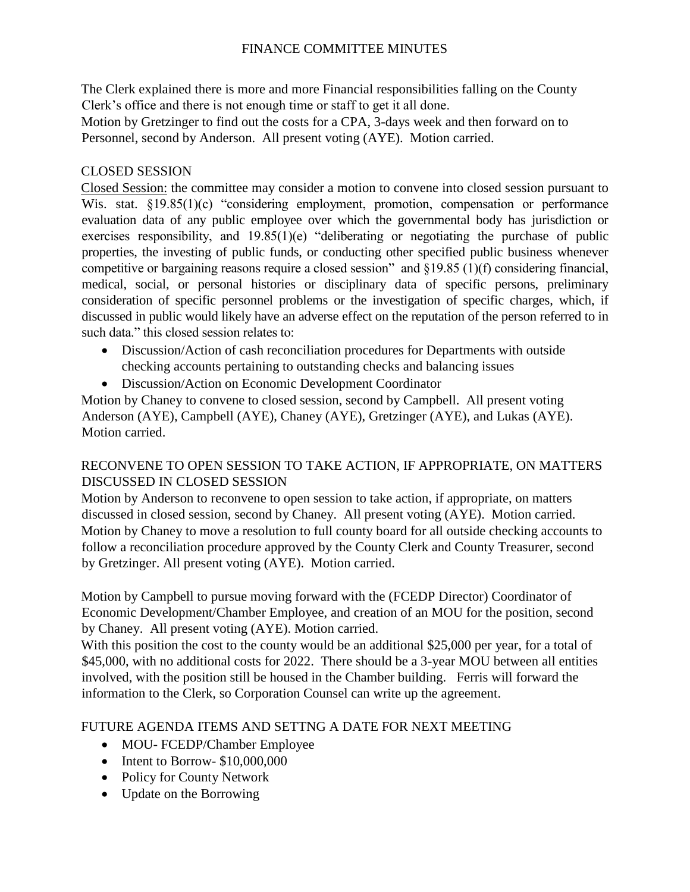# FINANCE COMMITTEE MINUTES

The Clerk explained there is more and more Financial responsibilities falling on the County Clerk's office and there is not enough time or staff to get it all done.

Motion by Gretzinger to find out the costs for a CPA, 3-days week and then forward on to Personnel, second by Anderson. All present voting (AYE). Motion carried.

## CLOSED SESSION

Closed Session: the committee may consider a motion to convene into closed session pursuant to Wis. stat. §19.85(1)(c) "considering employment, promotion, compensation or performance evaluation data of any public employee over which the governmental body has jurisdiction or exercises responsibility, and 19.85(1)(e) "deliberating or negotiating the purchase of public properties, the investing of public funds, or conducting other specified public business whenever competitive or bargaining reasons require a closed session" and §19.85 (1)(f) considering financial, medical, social, or personal histories or disciplinary data of specific persons, preliminary consideration of specific personnel problems or the investigation of specific charges, which, if discussed in public would likely have an adverse effect on the reputation of the person referred to in such data." this closed session relates to:

- Discussion/Action of cash reconciliation procedures for Departments with outside checking accounts pertaining to outstanding checks and balancing issues
- Discussion/Action on Economic Development Coordinator

Motion by Chaney to convene to closed session, second by Campbell. All present voting Anderson (AYE), Campbell (AYE), Chaney (AYE), Gretzinger (AYE), and Lukas (AYE). Motion carried.

# RECONVENE TO OPEN SESSION TO TAKE ACTION, IF APPROPRIATE, ON MATTERS DISCUSSED IN CLOSED SESSION

Motion by Anderson to reconvene to open session to take action, if appropriate, on matters discussed in closed session, second by Chaney. All present voting (AYE). Motion carried. Motion by Chaney to move a resolution to full county board for all outside checking accounts to follow a reconciliation procedure approved by the County Clerk and County Treasurer, second by Gretzinger. All present voting (AYE). Motion carried.

Motion by Campbell to pursue moving forward with the (FCEDP Director) Coordinator of Economic Development/Chamber Employee, and creation of an MOU for the position, second by Chaney. All present voting (AYE). Motion carried.

With this position the cost to the county would be an additional \$25,000 per year, for a total of \$45,000, with no additional costs for 2022. There should be a 3-year MOU between all entities involved, with the position still be housed in the Chamber building. Ferris will forward the information to the Clerk, so Corporation Counsel can write up the agreement.

# FUTURE AGENDA ITEMS AND SETTNG A DATE FOR NEXT MEETING

- MOU- FCEDP/Chamber Employee
- Intent to Borrow- \$10,000,000
- Policy for County Network
- Update on the Borrowing